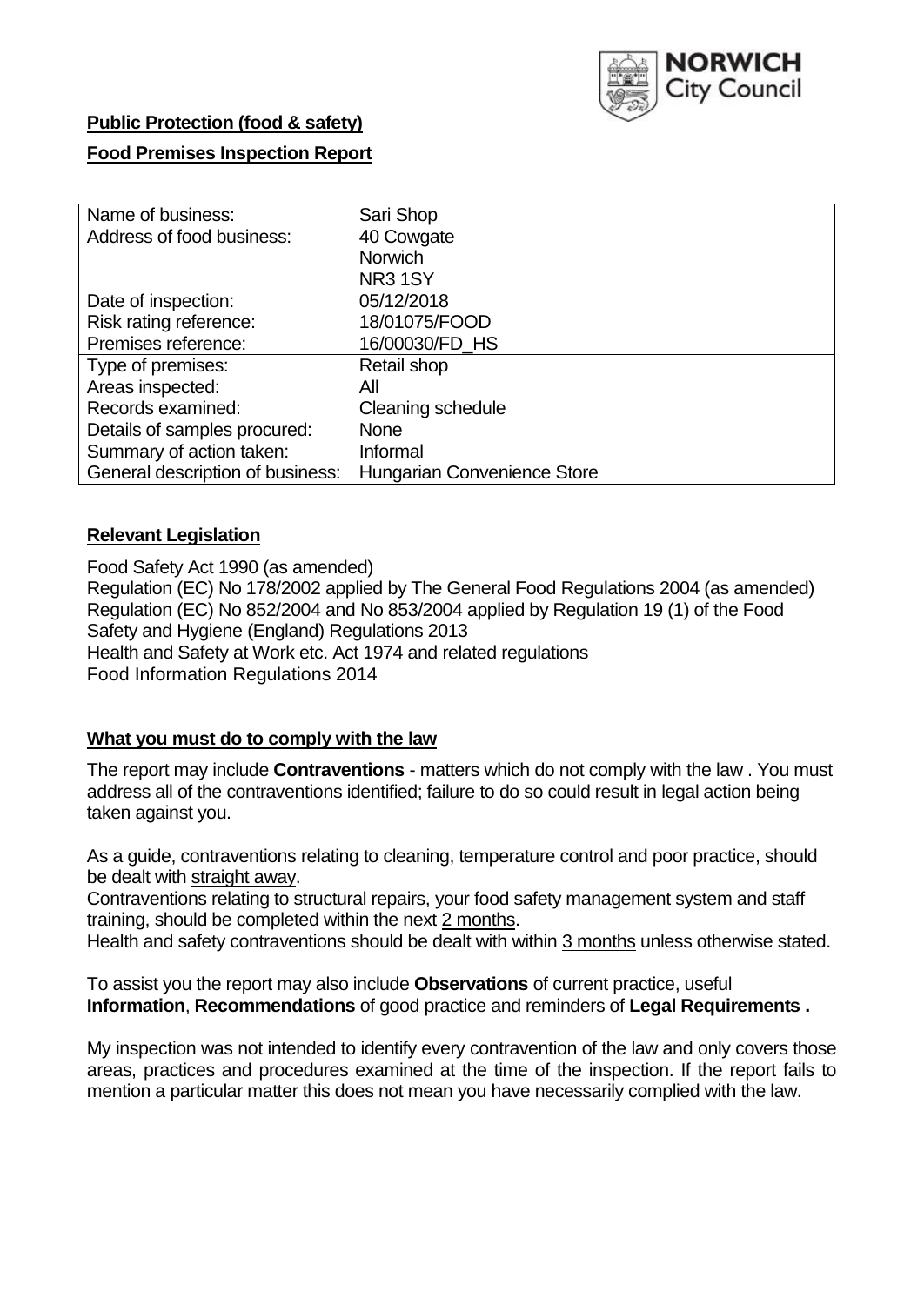

# **Public Protection (food & safety)**

### **Food Premises Inspection Report**

| Name of business:                | Sari Shop                   |
|----------------------------------|-----------------------------|
| Address of food business:        | 40 Cowgate                  |
|                                  | <b>Norwich</b>              |
|                                  | <b>NR31SY</b>               |
| Date of inspection:              | 05/12/2018                  |
| Risk rating reference:           | 18/01075/FOOD               |
| Premises reference:              | 16/00030/FD HS              |
| Type of premises:                | Retail shop                 |
| Areas inspected:                 | All                         |
| Records examined:                | Cleaning schedule           |
| Details of samples procured:     | <b>None</b>                 |
| Summary of action taken:         | Informal                    |
| General description of business: | Hungarian Convenience Store |

### **Relevant Legislation**

Food Safety Act 1990 (as amended) Regulation (EC) No 178/2002 applied by The General Food Regulations 2004 (as amended) Regulation (EC) No 852/2004 and No 853/2004 applied by Regulation 19 (1) of the Food Safety and Hygiene (England) Regulations 2013 Health and Safety at Work etc. Act 1974 and related regulations Food Information Regulations 2014

### **What you must do to comply with the law**

The report may include **Contraventions** - matters which do not comply with the law . You must address all of the contraventions identified; failure to do so could result in legal action being taken against you.

As a guide, contraventions relating to cleaning, temperature control and poor practice, should be dealt with straight away.

Contraventions relating to structural repairs, your food safety management system and staff training, should be completed within the next 2 months.

Health and safety contraventions should be dealt with within 3 months unless otherwise stated.

To assist you the report may also include **Observations** of current practice, useful **Information**, **Recommendations** of good practice and reminders of **Legal Requirements .**

My inspection was not intended to identify every contravention of the law and only covers those areas, practices and procedures examined at the time of the inspection. If the report fails to mention a particular matter this does not mean you have necessarily complied with the law.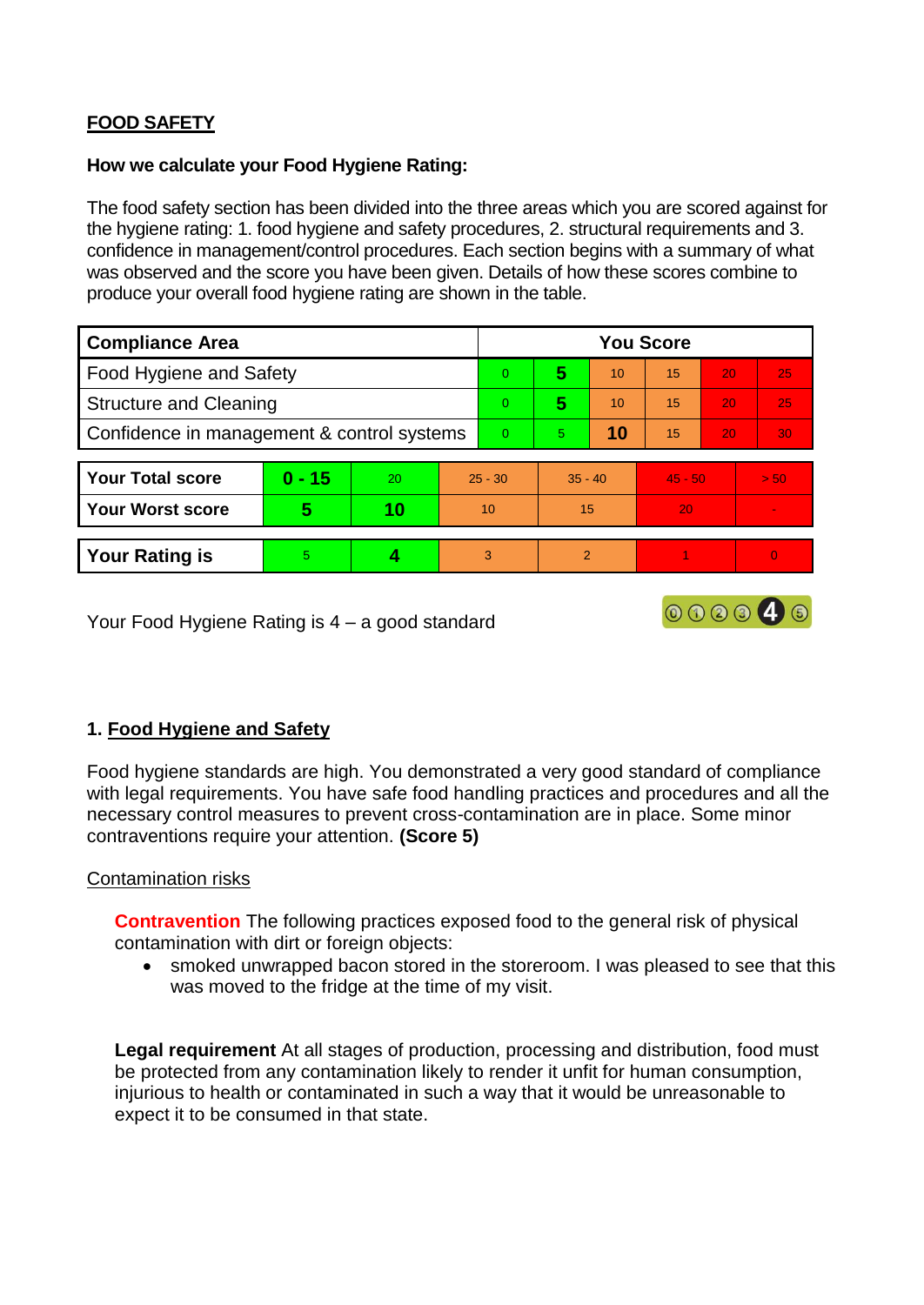# **FOOD SAFETY**

#### **How we calculate your Food Hygiene Rating:**

The food safety section has been divided into the three areas which you are scored against for the hygiene rating: 1. food hygiene and safety procedures, 2. structural requirements and 3. confidence in management/control procedures. Each section begins with a summary of what was observed and the score you have been given. Details of how these scores combine to produce your overall food hygiene rating are shown in the table.

| <b>Compliance Area</b>                     |          |    |  | <b>You Score</b> |                |    |           |    |          |  |  |
|--------------------------------------------|----------|----|--|------------------|----------------|----|-----------|----|----------|--|--|
| Food Hygiene and Safety                    |          |    |  | $\Omega$         | 5              | 10 | 15        | 20 | 25       |  |  |
| <b>Structure and Cleaning</b>              |          |    |  | $\overline{0}$   | 5              | 10 | 15        | 20 | 25       |  |  |
| Confidence in management & control systems |          |    |  | $\Omega$         | 5              | 10 | 15        | 20 | 30       |  |  |
|                                            |          |    |  |                  |                |    |           |    |          |  |  |
| <b>Your Total score</b>                    | $0 - 15$ | 20 |  | $25 - 30$        | $35 - 40$      |    | $45 - 50$ |    | > 50     |  |  |
| <b>Your Worst score</b>                    | 5        | 10 |  | 10               | 15             |    | 20        |    |          |  |  |
|                                            |          |    |  |                  |                |    |           |    |          |  |  |
| <b>Your Rating is</b>                      | 5.       |    |  | 3                | $\overline{2}$ |    |           |    | $\Omega$ |  |  |

Your Food Hygiene Rating is 4 – a good standard

# **1. Food Hygiene and Safety**

Food hygiene standards are high. You demonstrated a very good standard of compliance with legal requirements. You have safe food handling practices and procedures and all the necessary control measures to prevent cross-contamination are in place. Some minor contraventions require your attention. **(Score 5)**

000040

### Contamination risks

**Contravention** The following practices exposed food to the general risk of physical contamination with dirt or foreign objects:

• smoked unwrapped bacon stored in the storeroom. I was pleased to see that this was moved to the fridge at the time of my visit.

**Legal requirement** At all stages of production, processing and distribution, food must be protected from any contamination likely to render it unfit for human consumption, injurious to health or contaminated in such a way that it would be unreasonable to expect it to be consumed in that state.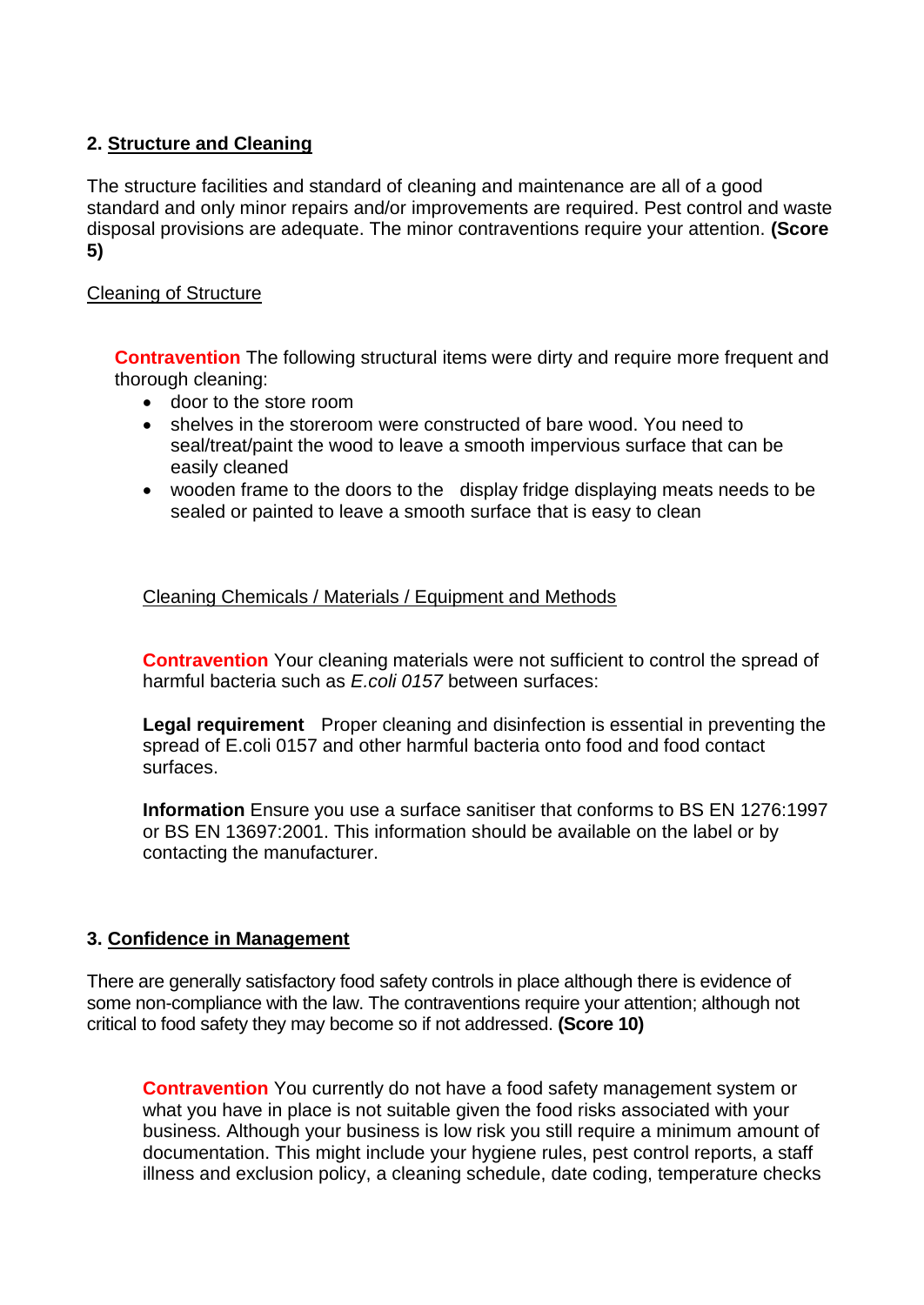## **2. Structure and Cleaning**

The structure facilities and standard of cleaning and maintenance are all of a good standard and only minor repairs and/or improvements are required. Pest control and waste disposal provisions are adequate. The minor contraventions require your attention. **(Score 5)**

### Cleaning of Structure

**Contravention** The following structural items were dirty and require more frequent and thorough cleaning:

- door to the store room
- shelves in the storeroom were constructed of bare wood. You need to seal/treat/paint the wood to leave a smooth impervious surface that can be easily cleaned
- wooden frame to the doors to the display fridge displaying meats needs to be sealed or painted to leave a smooth surface that is easy to clean

Cleaning Chemicals / Materials / Equipment and Methods

**Contravention** Your cleaning materials were not sufficient to control the spread of harmful bacteria such as *E.coli 0157* between surfaces:

**Legal requirement** Proper cleaning and disinfection is essential in preventing the spread of E.coli 0157 and other harmful bacteria onto food and food contact surfaces.

**Information** Ensure you use a surface sanitiser that conforms to BS EN 1276:1997 or BS EN 13697:2001. This information should be available on the label or by contacting the manufacturer.

### **3. Confidence in Management**

There are generally satisfactory food safety controls in place although there is evidence of some non-compliance with the law. The contraventions require your attention; although not critical to food safety they may become so if not addressed. **(Score 10)**

**Contravention** You currently do not have a food safety management system or what you have in place is not suitable given the food risks associated with your business. Although your business is low risk you still require a minimum amount of documentation. This might include your hygiene rules, pest control reports, a staff illness and exclusion policy, a cleaning schedule, date coding, temperature checks